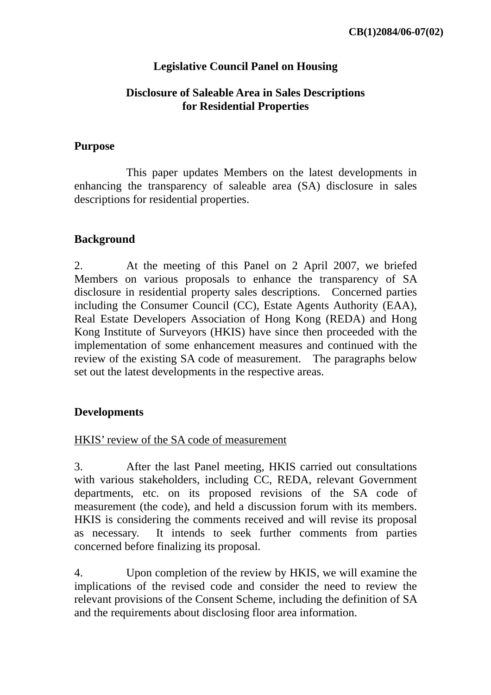# **Legislative Council Panel on Housing**

# **Disclosure of Saleable Area in Sales Descriptions for Residential Properties**

# **Purpose**

 This paper updates Members on the latest developments in enhancing the transparency of saleable area (SA) disclosure in sales descriptions for residential properties.

# **Background**

2. At the meeting of this Panel on 2 April 2007, we briefed Members on various proposals to enhance the transparency of SA disclosure in residential property sales descriptions. Concerned parties including the Consumer Council (CC), Estate Agents Authority (EAA), Real Estate Developers Association of Hong Kong (REDA) and Hong Kong Institute of Surveyors (HKIS) have since then proceeded with the implementation of some enhancement measures and continued with the review of the existing SA code of measurement. The paragraphs below set out the latest developments in the respective areas.

# **Developments**

## HKIS' review of the SA code of measurement

3. After the last Panel meeting, HKIS carried out consultations with various stakeholders, including CC, REDA, relevant Government departments, etc. on its proposed revisions of the SA code of measurement (the code), and held a discussion forum with its members. HKIS is considering the comments received and will revise its proposal as necessary. It intends to seek further comments from parties concerned before finalizing its proposal.

4. Upon completion of the review by HKIS, we will examine the implications of the revised code and consider the need to review the relevant provisions of the Consent Scheme, including the definition of SA and the requirements about disclosing floor area information.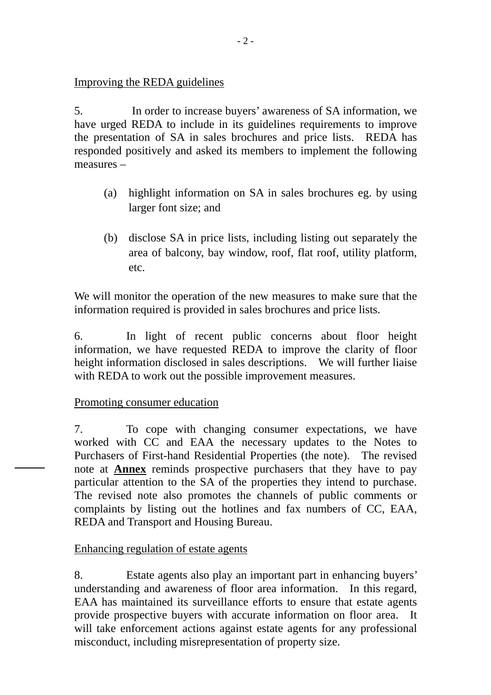# Improving the REDA guidelines

5. In order to increase buyers' awareness of SA information, we have urged REDA to include in its guidelines requirements to improve the presentation of SA in sales brochures and price lists. REDA has responded positively and asked its members to implement the following measures –

- (a) highlight information on SA in sales brochures eg. by using larger font size; and
- (b) disclose SA in price lists, including listing out separately the area of balcony, bay window, roof, flat roof, utility platform, etc.

We will monitor the operation of the new measures to make sure that the information required is provided in sales brochures and price lists.

6. In light of recent public concerns about floor height information, we have requested REDA to improve the clarity of floor height information disclosed in sales descriptions. We will further liaise with REDA to work out the possible improvement measures.

## Promoting consumer education

7. To cope with changing consumer expectations, we have worked with CC and EAA the necessary updates to the Notes to Purchasers of First-hand Residential Properties (the note). The revised note at **Annex** reminds prospective purchasers that they have to pay particular attention to the SA of the properties they intend to purchase. The revised note also promotes the channels of public comments or complaints by listing out the hotlines and fax numbers of CC, EAA, REDA and Transport and Housing Bureau.

## Enhancing regulation of estate agents

8. Estate agents also play an important part in enhancing buyers' understanding and awareness of floor area information. In this regard, EAA has maintained its surveillance efforts to ensure that estate agents provide prospective buyers with accurate information on floor area. It will take enforcement actions against estate agents for any professional misconduct, including misrepresentation of property size.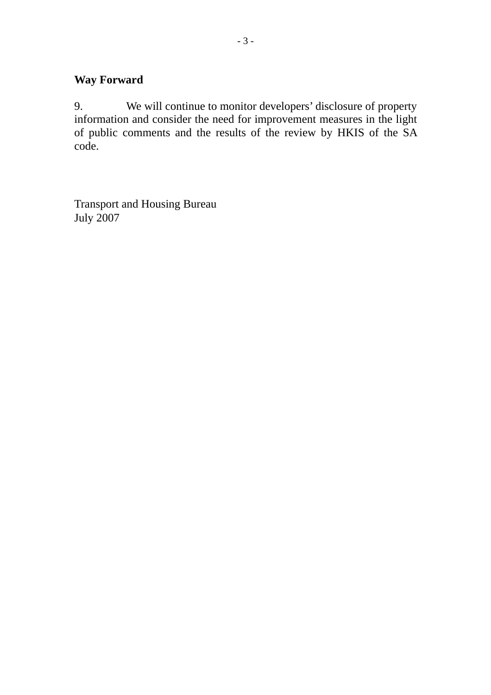# **Way Forward**

9. We will continue to monitor developers' disclosure of property information and consider the need for improvement measures in the light of public comments and the results of the review by HKIS of the SA code.

Transport and Housing Bureau July 2007